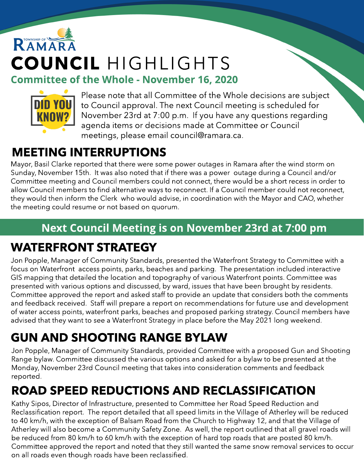# RAMARA COUNCIL HIGHLIGHTS **Committee of the Whole - November 16, 2020**



Please note that all Committee of the Whole decisions are subject to Council approval. The next Council meeting is scheduled for November 23rd at 7:00 p.m. If you have any questions regarding agenda items or decisions made at Committee or Council meetings, please email council@ramara.ca.

### MEETING INTERRUPTIONS

Mayor, Basil Clarke reported that there were some power outages in Ramara after the wind storm on Sunday, November 15th. It was also noted that if there was a power outage during a Council and/or Committee meeting and Council members could not connect, there would be a short recess in order to allow Council members to find alternative ways to reconnect. If a Council member could not reconnect, they would then inform the Clerk who would advise, in coordination with the Mayor and CAO, whether the meeting could resume or not based on quorum.

#### Next Council Meeting is on November 23rd at 7:00 pm

### WATERFRONT STRATEGY

Jon Popple, Manager of Community Standards, presented the Waterfront Strategy to Committee with a focus on Waterfront access points, parks, beaches and parking. The presentation included interactive GIS mapping that detailed the location and topography of various Waterfront points. Committee was presented with various options and discussed, by ward, issues that have been brought by residents. Committee approved the report and asked staff to provide an update that considers both the comments and feedback received. Staff will prepare a report on recommendations for future use and development of water access points, waterfront parks, beaches and proposed parking strategy. Council members have advised that they want to see a Waterfront Strategy in place before the May 2021 long weekend.

## GUN AND SHOOTING RANGE BYLAW

Jon Popple, Manager of Community Standards, provided Committee with a proposed Gun and Shooting Range bylaw. Committee discussed the various options and asked for a bylaw to be presented at the Monday, November 23rd Council meeting that takes into consideration comments and feedback reported.

### ROAD SPEED REDUCTIONS AND RECLASSIFICATION

Kathy Sipos, Director of Infrastructure, presented to Committee her Road Speed Reduction and Reclassification report. The report detailed that all speed limits in the Village of Atherley will be reduced to 40 km/h, with the exception of Balsam Road from the Church to Highway 12, and that the Village of Atherley will also become a Community Safety Zone. As well, the report outlined that all gravel roads will be reduced from 80 km/h to 60 km/h with the exception of hard top roads that are posted 80 km/h. Committee approved the report and noted that they still wanted the same snow removal services to occur on all roads even though roads have been reclassified.